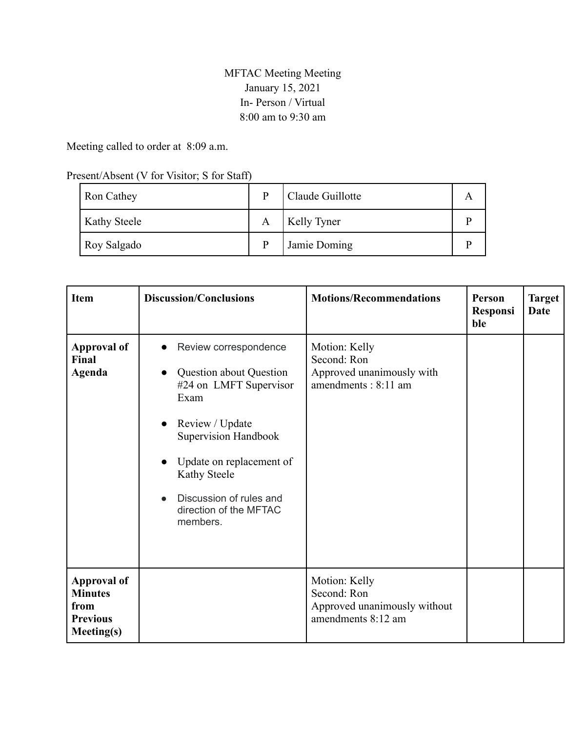## MFTAC Meeting Meeting January 15, 2021 In- Person / Virtual 8:00 am to 9:30 am

Meeting called to order at 8:09 a.m.

## Present/Absent (V for Visitor; S for Staff)

| <b>Ron Cathey</b>   | p | Claude Guillotte   |  |
|---------------------|---|--------------------|--|
| <b>Kathy Steele</b> | A | <b>Kelly Tyner</b> |  |
| Roy Salgado         | D | Jamie Doming       |  |

| <b>Item</b>                                                                          | <b>Discussion/Conclusions</b>                                                                                                                                                                                                                                                                                | <b>Motions/Recommendations</b>                                                     | Person<br><b>Responsi</b><br>ble | <b>Target</b><br><b>Date</b> |
|--------------------------------------------------------------------------------------|--------------------------------------------------------------------------------------------------------------------------------------------------------------------------------------------------------------------------------------------------------------------------------------------------------------|------------------------------------------------------------------------------------|----------------------------------|------------------------------|
| <b>Approval of</b><br>Final<br><b>Agenda</b>                                         | Review correspondence<br>$\bullet$<br><b>Question about Question</b><br>$\bullet$<br>#24 on LMFT Supervisor<br>Exam<br>Review / Update<br>$\bullet$<br>Supervision Handbook<br>Update on replacement of<br>$\bullet$<br><b>Kathy Steele</b><br>Discussion of rules and<br>direction of the MFTAC<br>members. | Motion: Kelly<br>Second: Ron<br>Approved unanimously with<br>amendments: 8:11 am   |                                  |                              |
| <b>Approval of</b><br><b>Minutes</b><br>from<br><b>Previous</b><br><b>Meeting(s)</b> |                                                                                                                                                                                                                                                                                                              | Motion: Kelly<br>Second: Ron<br>Approved unanimously without<br>amendments 8:12 am |                                  |                              |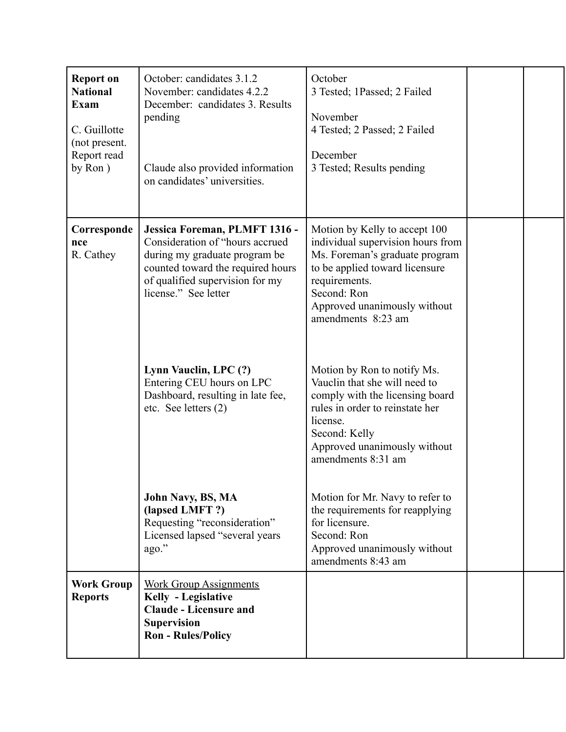| <b>Report on</b><br><b>National</b><br><b>Exam</b><br>C. Guillotte<br>(not present.<br>Report read<br>by Ron) | October: candidates 3.1.2<br>November: candidates 4.2.2<br>December: candidates 3. Results<br>pending<br>Claude also provided information<br>on candidates' universities.                         | October<br>3 Tested; 1Passed; 2 Failed<br>November<br>4 Tested; 2 Passed; 2 Failed<br>December<br>3 Tested; Results pending                                                                                                  |  |
|---------------------------------------------------------------------------------------------------------------|---------------------------------------------------------------------------------------------------------------------------------------------------------------------------------------------------|------------------------------------------------------------------------------------------------------------------------------------------------------------------------------------------------------------------------------|--|
| Corresponde<br>nce<br>R. Cathey                                                                               | Jessica Foreman, PLMFT 1316 -<br>Consideration of "hours accrued<br>during my graduate program be<br>counted toward the required hours<br>of qualified supervision for my<br>license." See letter | Motion by Kelly to accept 100<br>individual supervision hours from<br>Ms. Foreman's graduate program<br>to be applied toward licensure<br>requirements.<br>Second: Ron<br>Approved unanimously without<br>amendments 8:23 am |  |
|                                                                                                               | Lynn Vauclin, LPC (?)<br>Entering CEU hours on LPC<br>Dashboard, resulting in late fee,<br>etc. See letters (2)                                                                                   | Motion by Ron to notify Ms.<br>Vauclin that she will need to<br>comply with the licensing board<br>rules in order to reinstate her<br>license.<br>Second: Kelly<br>Approved unanimously without<br>amendments 8:31 am        |  |
|                                                                                                               | John Navy, BS, MA<br>(lapsed LMFT?)<br>Requesting "reconsideration"<br>Licensed lapsed "several years<br>ago."                                                                                    | Motion for Mr. Navy to refer to<br>the requirements for reapplying<br>for licensure.<br>Second: Ron<br>Approved unanimously without<br>amendments 8:43 am                                                                    |  |
| <b>Work Group</b><br><b>Reports</b>                                                                           | <b>Work Group Assignments</b><br>Kelly - Legislative<br><b>Claude - Licensure and</b><br><b>Supervision</b><br><b>Ron - Rules/Policy</b>                                                          |                                                                                                                                                                                                                              |  |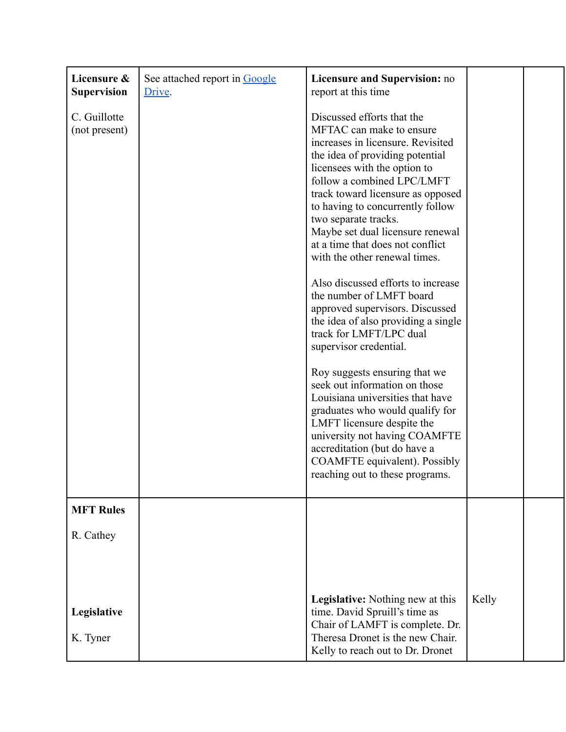| Licensure &<br><b>Supervision</b> | See attached report in Google<br>Drive. | Licensure and Supervision: no<br>report at this time                                                                                                                                                                                                                                                                                                                                                                                                                                                                                                                                                                                                                                                                                                                                                                                                                                                                |       |  |
|-----------------------------------|-----------------------------------------|---------------------------------------------------------------------------------------------------------------------------------------------------------------------------------------------------------------------------------------------------------------------------------------------------------------------------------------------------------------------------------------------------------------------------------------------------------------------------------------------------------------------------------------------------------------------------------------------------------------------------------------------------------------------------------------------------------------------------------------------------------------------------------------------------------------------------------------------------------------------------------------------------------------------|-------|--|
| C. Guillotte<br>(not present)     |                                         | Discussed efforts that the<br>MFTAC can make to ensure<br>increases in licensure. Revisited<br>the idea of providing potential<br>licensees with the option to<br>follow a combined LPC/LMFT<br>track toward licensure as opposed<br>to having to concurrently follow<br>two separate tracks.<br>Maybe set dual licensure renewal<br>at a time that does not conflict<br>with the other renewal times.<br>Also discussed efforts to increase<br>the number of LMFT board<br>approved supervisors. Discussed<br>the idea of also providing a single<br>track for LMFT/LPC dual<br>supervisor credential.<br>Roy suggests ensuring that we<br>seek out information on those<br>Louisiana universities that have<br>graduates who would qualify for<br>LMFT licensure despite the<br>university not having COAMFTE<br>accreditation (but do have a<br>COAMFTE equivalent). Possibly<br>reaching out to these programs. |       |  |
| <b>MFT Rules</b>                  |                                         |                                                                                                                                                                                                                                                                                                                                                                                                                                                                                                                                                                                                                                                                                                                                                                                                                                                                                                                     |       |  |
| R. Cathey                         |                                         |                                                                                                                                                                                                                                                                                                                                                                                                                                                                                                                                                                                                                                                                                                                                                                                                                                                                                                                     |       |  |
| Legislative<br>K. Tyner           |                                         | <b>Legislative:</b> Nothing new at this<br>time. David Spruill's time as<br>Chair of LAMFT is complete. Dr.<br>Theresa Dronet is the new Chair.<br>Kelly to reach out to Dr. Dronet                                                                                                                                                                                                                                                                                                                                                                                                                                                                                                                                                                                                                                                                                                                                 | Kelly |  |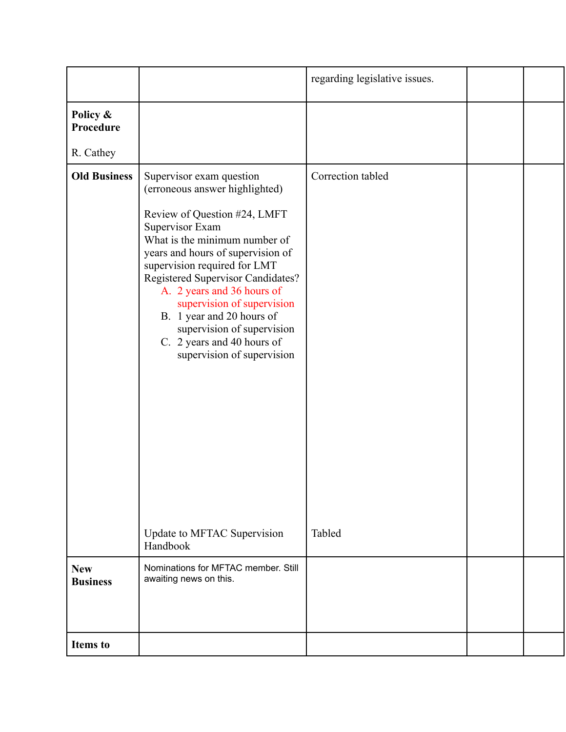|                               |                                                                                                                                                                                                                                                                                                                                                                                                                                             | regarding legislative issues. |  |
|-------------------------------|---------------------------------------------------------------------------------------------------------------------------------------------------------------------------------------------------------------------------------------------------------------------------------------------------------------------------------------------------------------------------------------------------------------------------------------------|-------------------------------|--|
| Policy &<br>Procedure         |                                                                                                                                                                                                                                                                                                                                                                                                                                             |                               |  |
| R. Cathey                     |                                                                                                                                                                                                                                                                                                                                                                                                                                             |                               |  |
| <b>Old Business</b>           | Supervisor exam question<br>(erroneous answer highlighted)<br>Review of Question #24, LMFT<br>Supervisor Exam<br>What is the minimum number of<br>years and hours of supervision of<br>supervision required for LMT<br>Registered Supervisor Candidates?<br>A. 2 years and 36 hours of<br>supervision of supervision<br>B. 1 year and 20 hours of<br>supervision of supervision<br>C. 2 years and 40 hours of<br>supervision of supervision | Correction tabled             |  |
|                               | Update to MFTAC Supervision<br>Handbook                                                                                                                                                                                                                                                                                                                                                                                                     | Tabled                        |  |
| <b>New</b><br><b>Business</b> | Nominations for MFTAC member. Still<br>awaiting news on this.                                                                                                                                                                                                                                                                                                                                                                               |                               |  |
| <b>Items</b> to               |                                                                                                                                                                                                                                                                                                                                                                                                                                             |                               |  |